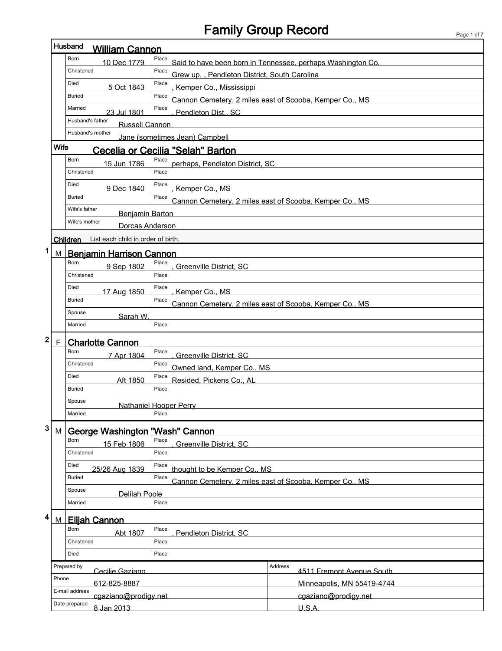## Family Group Record Page 1 of 7

ľ

|                  | Husband<br><b>William Cannon</b>            |                                                                     |                                                             |  |  |
|------------------|---------------------------------------------|---------------------------------------------------------------------|-------------------------------------------------------------|--|--|
|                  | Born<br>10 Dec 1779                         | Place                                                               | Said to have been born in Tennessee, perhaps Washington Co. |  |  |
|                  | Christened                                  | Place<br>Grew up., Pendleton District, South Carolina               |                                                             |  |  |
|                  | Died<br>5 Oct 1843                          | Place<br>Kemper Co., Mississippi                                    |                                                             |  |  |
|                  | <b>Buried</b>                               | Place                                                               | Cannon Cemetery, 2 miles east of Scooba, Kemper Co., MS     |  |  |
|                  | Married<br>23 Jul 1801                      | Place<br>Pendleton Dist., SC                                        |                                                             |  |  |
|                  | Husband's father<br><b>Russell Cannon</b>   |                                                                     |                                                             |  |  |
|                  |                                             |                                                                     |                                                             |  |  |
|                  | <b>Wife</b>                                 | Jane (sometimes Jean) Campbell<br>Cecelia or Cecilia "Selah" Barton |                                                             |  |  |
|                  | Born                                        | Place                                                               |                                                             |  |  |
|                  | 15 Jun 1786<br>Christened                   | perhaps, Pendleton District, SC<br>Place                            |                                                             |  |  |
|                  | Died                                        | Place                                                               |                                                             |  |  |
|                  | 9 Dec 1840<br><b>Buried</b>                 | Kemper Co., MS<br>Place                                             |                                                             |  |  |
|                  | Wife's father                               |                                                                     | Cannon Cemetery, 2 miles east of Scooba, Kemper Co., MS     |  |  |
|                  | Benjamin Barton<br>Wife's mother            |                                                                     |                                                             |  |  |
|                  | Dorcas Anderson                             |                                                                     |                                                             |  |  |
|                  | Children List each child in order of birth. |                                                                     |                                                             |  |  |
| 1<br>M           | <b>Benjamin Harrison Cannon</b>             |                                                                     |                                                             |  |  |
|                  | Born<br>9 Sep 1802                          | Place<br>Greenville District, SC                                    |                                                             |  |  |
|                  | Christened                                  | Place                                                               |                                                             |  |  |
|                  | Died<br>17 Aug 1850                         | Place<br>Kemper Co., MS                                             |                                                             |  |  |
|                  | <b>Buried</b>                               | Place                                                               | Cannon Cemetery, 2 miles east of Scooba, Kemper Co., MS     |  |  |
|                  | Spouse<br>Sarah W.                          |                                                                     |                                                             |  |  |
|                  | Married                                     | Place                                                               |                                                             |  |  |
| $\mathbf 2$<br>F | <b>Charlotte Cannon</b>                     |                                                                     |                                                             |  |  |
|                  | Born<br>7 Apr 1804                          | Place<br>Greenville District. SC                                    |                                                             |  |  |
|                  | Christened                                  | Place<br>Owned land, Kemper Co., MS                                 |                                                             |  |  |
|                  | Died<br>Aft 1850                            | Place<br>Resided, Pickens Co., AL                                   |                                                             |  |  |
|                  | <b>Buried</b>                               | Place                                                               |                                                             |  |  |
|                  | Spouse                                      | Nathaniel Hooper Perry                                              |                                                             |  |  |
|                  | Married                                     | Place                                                               |                                                             |  |  |
| 3<br>M           | George Washington "Wash" Cannon             |                                                                     |                                                             |  |  |
|                  | Born<br>15 Feb 1806                         | Place<br>Greenville District, SC                                    |                                                             |  |  |
|                  | Christened                                  | Place                                                               |                                                             |  |  |
|                  | Died<br>25/26 Aug 1839                      | Place<br>thought to be Kemper Co., MS                               |                                                             |  |  |
|                  | <b>Buried</b>                               | Place                                                               | Cannon Cemetery, 2 miles east of Scooba, Kemper Co., MS     |  |  |
|                  | Spouse                                      |                                                                     |                                                             |  |  |
|                  | <b>Delilah Poole</b><br>Married             | Place                                                               |                                                             |  |  |
| 4                |                                             |                                                                     |                                                             |  |  |
| M                | <b>Elijah Cannon</b><br>Born                | Place                                                               |                                                             |  |  |
|                  | Abt 1807<br>Christened                      | Pendleton District, SC<br>Place                                     |                                                             |  |  |
|                  | Died                                        | Place                                                               |                                                             |  |  |
|                  | Prepared by                                 |                                                                     | <b>Address</b>                                              |  |  |
|                  | Cecilie Gaziano<br>Phone                    |                                                                     | 4511 Fremont Avenue South                                   |  |  |
|                  | 612-825-8887<br>E-mail address              |                                                                     | Minneapolis, MN 55419-4744                                  |  |  |
|                  | cgaziano@prodigy.net                        |                                                                     | cgaziano@prodigy.net                                        |  |  |
|                  | Date prepared<br>8 Jan 2013                 |                                                                     | U.S.A.                                                      |  |  |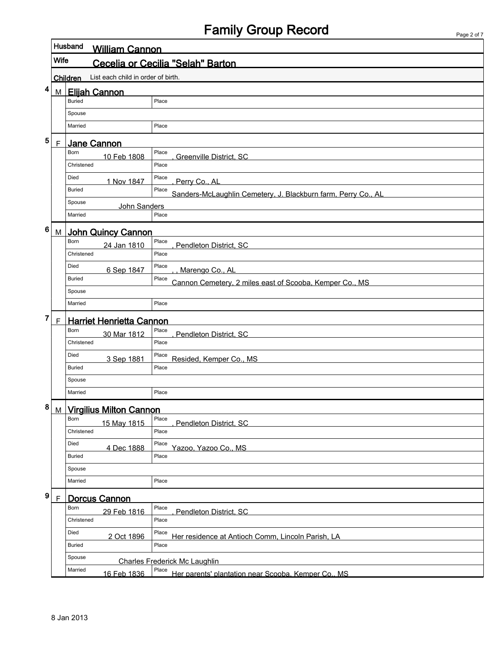## Family Group Record

|                 |                 | Husband<br><b>William Cannon</b>          |                                                                        |  |  |  |  |
|-----------------|-----------------|-------------------------------------------|------------------------------------------------------------------------|--|--|--|--|
|                 |                 | Wife<br>Cecelia or Cecilia "Selah" Barton |                                                                        |  |  |  |  |
|                 | <b>Children</b> | List each child in order of birth.        |                                                                        |  |  |  |  |
| 4               | M               | <b>Elijah Cannon</b>                      |                                                                        |  |  |  |  |
|                 |                 | <b>Buried</b>                             | Place                                                                  |  |  |  |  |
|                 |                 | Spouse                                    |                                                                        |  |  |  |  |
|                 |                 | Married                                   | Place                                                                  |  |  |  |  |
| 5               | F               | Jane Cannon                               |                                                                        |  |  |  |  |
|                 |                 | Born<br>10 Feb 1808                       | Place<br><b>Greenville District, SC</b>                                |  |  |  |  |
|                 |                 | Christened                                | Place                                                                  |  |  |  |  |
|                 |                 | Died<br>1 Nov 1847                        | Place<br>Perry Co., AL                                                 |  |  |  |  |
|                 |                 | <b>Buried</b>                             | Place<br>Sanders-McLaughlin Cemetery, J. Blackburn farm, Perry Co., AL |  |  |  |  |
|                 |                 | Spouse<br>John Sanders                    |                                                                        |  |  |  |  |
|                 |                 | Married                                   | Place                                                                  |  |  |  |  |
| $6\phantom{1}6$ | М               | <b>John Quincy Cannon</b>                 |                                                                        |  |  |  |  |
|                 |                 | Born<br>24 Jan 1810                       | Place<br>Pendleton District, SC                                        |  |  |  |  |
|                 |                 | Christened                                | Place                                                                  |  |  |  |  |
|                 |                 | Died<br>6 Sep 1847                        | Place<br>Marengo Co., AL                                               |  |  |  |  |
|                 |                 | <b>Buried</b>                             | Place<br>Cannon Cemetery, 2 miles east of Scooba, Kemper Co., MS       |  |  |  |  |
|                 |                 | Spouse                                    |                                                                        |  |  |  |  |
|                 |                 | Married                                   | Place                                                                  |  |  |  |  |
| 7               | $\mathsf F$     | <b>Harriet Henrietta Cannon</b>           |                                                                        |  |  |  |  |
|                 |                 | Born<br>30 Mar 1812                       | Place<br>Pendleton District, SC                                        |  |  |  |  |
|                 |                 | Christened                                | Place                                                                  |  |  |  |  |
|                 |                 | Died<br>3 Sep 1881                        | Place<br>Resided, Kemper Co., MS                                       |  |  |  |  |
|                 |                 | <b>Buried</b>                             | Place                                                                  |  |  |  |  |
|                 |                 | Spouse                                    |                                                                        |  |  |  |  |
|                 |                 | Married                                   | Place                                                                  |  |  |  |  |
| 8               | M               | <b>Virgilius Milton Cannon</b>            |                                                                        |  |  |  |  |
|                 |                 | Born<br>15 May 1815                       | Place<br>Pendleton District, SC                                        |  |  |  |  |
|                 |                 | Christened                                | Place                                                                  |  |  |  |  |
|                 |                 | Died<br>4 Dec 1888                        | Place<br>Yazoo, Yazoo Co., MS                                          |  |  |  |  |
|                 |                 | <b>Buried</b>                             | Place                                                                  |  |  |  |  |
|                 |                 | Spouse                                    |                                                                        |  |  |  |  |
|                 |                 | Married                                   | Place                                                                  |  |  |  |  |
| 9               | F               | <b>Dorcus Cannon</b>                      |                                                                        |  |  |  |  |
|                 |                 | Born<br>29 Feb 1816                       | Place<br>Pendleton District, SC                                        |  |  |  |  |
|                 |                 | Christened                                | Place                                                                  |  |  |  |  |
|                 |                 | Died<br>2 Oct 1896                        | Place<br>Her residence at Antioch Comm, Lincoln Parish, LA             |  |  |  |  |
|                 |                 | <b>Buried</b>                             | Place                                                                  |  |  |  |  |
|                 |                 | Spouse                                    | <b>Charles Frederick Mc Laughlin</b>                                   |  |  |  |  |
|                 |                 | Married<br>16 Feb 1836                    | Place<br>Her parents' plantation near Scooba. Kemper Co., MS           |  |  |  |  |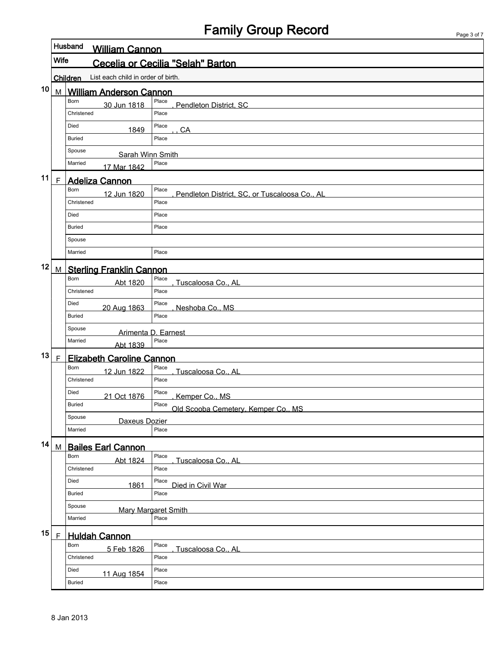# Family Group Record

Page 3 of 7

|    |                                                  | Husband<br><b>William Cannon</b> |                                                        |  |  |  |
|----|--------------------------------------------------|----------------------------------|--------------------------------------------------------|--|--|--|
|    | <b>Wife</b><br>Cecelia or Cecilia "Selah" Barton |                                  |                                                        |  |  |  |
|    | List each child in order of birth.<br>Children   |                                  |                                                        |  |  |  |
| 10 | M                                                | <b>William Anderson Cannon</b>   |                                                        |  |  |  |
|    |                                                  | Born<br>30 Jun 1818              | Place<br>Pendleton District, SC                        |  |  |  |
|    |                                                  | Christened                       | Place                                                  |  |  |  |
|    |                                                  | Died<br>1849                     | Place<br>CA                                            |  |  |  |
|    |                                                  | <b>Buried</b>                    | Place                                                  |  |  |  |
|    |                                                  | Spouse<br>Sarah Winn Smith       |                                                        |  |  |  |
|    |                                                  | Married<br>17 Mar 1842           | Place                                                  |  |  |  |
| 11 | F                                                | <b>Adeliza Cannon</b>            |                                                        |  |  |  |
|    |                                                  | Born<br>12 Jun 1820              | Place<br>Pendleton District, SC, or Tuscaloosa Co., AL |  |  |  |
|    |                                                  | Christened                       | Place                                                  |  |  |  |
|    |                                                  | Died                             | Place                                                  |  |  |  |
|    |                                                  | <b>Buried</b>                    | Place                                                  |  |  |  |
|    |                                                  | Spouse                           |                                                        |  |  |  |
|    |                                                  | Married                          | Place                                                  |  |  |  |
| 12 | M                                                | <b>Sterling Franklin Cannon</b>  |                                                        |  |  |  |
|    |                                                  | Born<br>Abt 1820                 | Place<br>Tuscaloosa Co., AL                            |  |  |  |
|    |                                                  | Christened                       | Place                                                  |  |  |  |
|    |                                                  | Died<br>20 Aug 1863              | Place<br>Neshoba Co., MS                               |  |  |  |
|    |                                                  | <b>Buried</b>                    | Place                                                  |  |  |  |
|    |                                                  | Spouse<br>Arimenta D. Earnest    |                                                        |  |  |  |
|    |                                                  | Married<br>Abt 1839              | Place                                                  |  |  |  |
| 13 | F                                                | <b>Elizabeth Caroline Cannon</b> |                                                        |  |  |  |
|    |                                                  | Born<br>12 Jun 1822              | Place<br>Tuscaloosa Co., AL                            |  |  |  |
|    |                                                  | Christened                       | Place                                                  |  |  |  |
|    |                                                  | Died<br>21 Oct 1876              | Place<br>Kemper Co., MS                                |  |  |  |
|    |                                                  | <b>Buried</b>                    | Place<br>Old Scooba Cemetery, Kemper Co., MS           |  |  |  |
|    |                                                  | Spouse<br>Daxeus Dozier          |                                                        |  |  |  |
|    |                                                  | Married                          | Place                                                  |  |  |  |
| 14 | M                                                | <b>Bailes Earl Cannon</b>        |                                                        |  |  |  |
|    |                                                  | Born<br>Abt 1824                 | Place<br>Tuscaloosa Co., AL                            |  |  |  |
|    |                                                  | Christened                       | Place                                                  |  |  |  |
|    |                                                  | Died<br>1861                     | Place<br>Died in Civil War                             |  |  |  |
|    |                                                  | <b>Buried</b>                    | Place                                                  |  |  |  |
|    |                                                  | Spouse                           | Mary Margaret Smith                                    |  |  |  |
|    |                                                  | Married                          | Place                                                  |  |  |  |
| 15 | $\mathsf F$                                      | <b>Huldah Cannon</b>             |                                                        |  |  |  |
|    |                                                  | Born<br>5 Feb 1826               | Place<br>Tuscaloosa Co., AL                            |  |  |  |
|    |                                                  | Christened                       | Place                                                  |  |  |  |
|    |                                                  | Died<br>11 Aug 1854              | Place                                                  |  |  |  |
|    |                                                  | <b>Buried</b>                    | Place                                                  |  |  |  |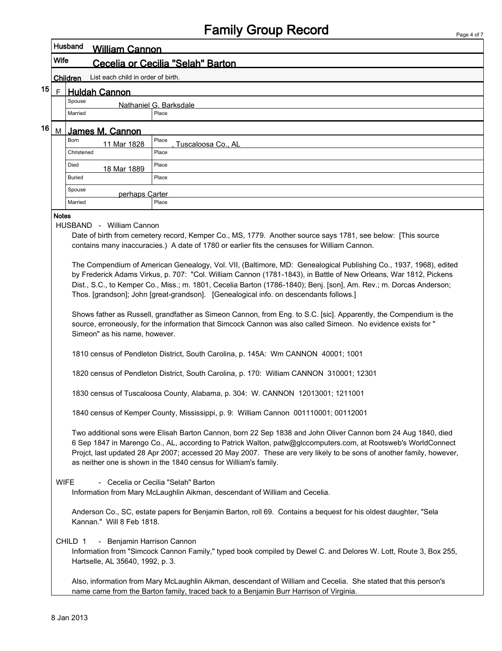|                                                                                                                                                                                                                                                                                                                                                                                                                                                                                    | Husband<br><b>William Cannon</b>                                                                                                                                                                                                                                                                                                                                                                                                                                                                                  |                                                                           |                                                                                                                                                                                                           |  |  |  |
|------------------------------------------------------------------------------------------------------------------------------------------------------------------------------------------------------------------------------------------------------------------------------------------------------------------------------------------------------------------------------------------------------------------------------------------------------------------------------------|-------------------------------------------------------------------------------------------------------------------------------------------------------------------------------------------------------------------------------------------------------------------------------------------------------------------------------------------------------------------------------------------------------------------------------------------------------------------------------------------------------------------|---------------------------------------------------------------------------|-----------------------------------------------------------------------------------------------------------------------------------------------------------------------------------------------------------|--|--|--|
|                                                                                                                                                                                                                                                                                                                                                                                                                                                                                    | <b>Wife</b><br>Cecelia or Cecilia "Selah" Barton                                                                                                                                                                                                                                                                                                                                                                                                                                                                  |                                                                           |                                                                                                                                                                                                           |  |  |  |
|                                                                                                                                                                                                                                                                                                                                                                                                                                                                                    | List each child in order of birth.<br>Children                                                                                                                                                                                                                                                                                                                                                                                                                                                                    |                                                                           |                                                                                                                                                                                                           |  |  |  |
| 15                                                                                                                                                                                                                                                                                                                                                                                                                                                                                 | $\mathsf{F}$                                                                                                                                                                                                                                                                                                                                                                                                                                                                                                      | <b>Huldah Cannon</b>                                                      |                                                                                                                                                                                                           |  |  |  |
| Spouse<br>Nathaniel G. Barksdale                                                                                                                                                                                                                                                                                                                                                                                                                                                   |                                                                                                                                                                                                                                                                                                                                                                                                                                                                                                                   |                                                                           |                                                                                                                                                                                                           |  |  |  |
|                                                                                                                                                                                                                                                                                                                                                                                                                                                                                    |                                                                                                                                                                                                                                                                                                                                                                                                                                                                                                                   | Married                                                                   | Place                                                                                                                                                                                                     |  |  |  |
| 16                                                                                                                                                                                                                                                                                                                                                                                                                                                                                 | М                                                                                                                                                                                                                                                                                                                                                                                                                                                                                                                 | James M. Cannon                                                           |                                                                                                                                                                                                           |  |  |  |
|                                                                                                                                                                                                                                                                                                                                                                                                                                                                                    |                                                                                                                                                                                                                                                                                                                                                                                                                                                                                                                   | Born<br>11 Mar 1828                                                       | Place<br>Tuscaloosa Co., AL                                                                                                                                                                               |  |  |  |
|                                                                                                                                                                                                                                                                                                                                                                                                                                                                                    |                                                                                                                                                                                                                                                                                                                                                                                                                                                                                                                   | Christened                                                                | Place                                                                                                                                                                                                     |  |  |  |
|                                                                                                                                                                                                                                                                                                                                                                                                                                                                                    |                                                                                                                                                                                                                                                                                                                                                                                                                                                                                                                   | Died<br>18 Mar 1889                                                       | Place                                                                                                                                                                                                     |  |  |  |
|                                                                                                                                                                                                                                                                                                                                                                                                                                                                                    |                                                                                                                                                                                                                                                                                                                                                                                                                                                                                                                   | <b>Buried</b>                                                             | Place                                                                                                                                                                                                     |  |  |  |
|                                                                                                                                                                                                                                                                                                                                                                                                                                                                                    |                                                                                                                                                                                                                                                                                                                                                                                                                                                                                                                   | Spouse<br>perhaps Carter                                                  |                                                                                                                                                                                                           |  |  |  |
|                                                                                                                                                                                                                                                                                                                                                                                                                                                                                    |                                                                                                                                                                                                                                                                                                                                                                                                                                                                                                                   | Married                                                                   | Place                                                                                                                                                                                                     |  |  |  |
|                                                                                                                                                                                                                                                                                                                                                                                                                                                                                    | <b>Notes</b><br>HUSBAND - William Cannon<br>Date of birth from cemetery record, Kemper Co., MS, 1779. Another source says 1781, see below: [This source<br>contains many inaccuracies.) A date of 1780 or earlier fits the censuses for William Cannon.<br>The Compendium of American Genealogy, Vol. VII, (Baltimore, MD: Genealogical Publishing Co., 1937, 1968), edited<br>by Frederick Adams Virkus, p. 707: "Col. William Cannon (1781-1843), in Battle of New Orleans, War 1812, Pickens                   |                                                                           |                                                                                                                                                                                                           |  |  |  |
| Dist., S.C., to Kemper Co., Miss.; m. 1801, Cecelia Barton (1786-1840); Benj. [son], Am. Rev.; m. Dorcas Anderson;<br>Thos. [grandson]; John [great-grandson]. [Genealogical info. on descendants follows.]<br>Shows father as Russell, grandfather as Simeon Cannon, from Eng. to S.C. [sic]. Apparently, the Compendium is the<br>source, erroneously, for the information that Simcock Cannon was also called Simeon. No evidence exists for "<br>Simeon" as his name, however. |                                                                                                                                                                                                                                                                                                                                                                                                                                                                                                                   |                                                                           |                                                                                                                                                                                                           |  |  |  |
|                                                                                                                                                                                                                                                                                                                                                                                                                                                                                    | 1810 census of Pendleton District, South Carolina, p. 145A: Wm CANNON 40001; 1001                                                                                                                                                                                                                                                                                                                                                                                                                                 |                                                                           |                                                                                                                                                                                                           |  |  |  |
|                                                                                                                                                                                                                                                                                                                                                                                                                                                                                    | 1820 census of Pendleton District, South Carolina, p. 170: William CANNON 310001; 12301                                                                                                                                                                                                                                                                                                                                                                                                                           |                                                                           |                                                                                                                                                                                                           |  |  |  |
|                                                                                                                                                                                                                                                                                                                                                                                                                                                                                    | 1830 census of Tuscaloosa County, Alabama, p. 304: W. CANNON 12013001; 1211001                                                                                                                                                                                                                                                                                                                                                                                                                                    |                                                                           |                                                                                                                                                                                                           |  |  |  |
|                                                                                                                                                                                                                                                                                                                                                                                                                                                                                    | 1840 census of Kemper County, Mississippi, p. 9: William Cannon 001110001; 00112001<br>Two additional sons were Elisah Barton Cannon, born 22 Sep 1838 and John Oliver Cannon born 24 Aug 1840, died<br>6 Sep 1847 in Marengo Co., AL, according to Patrick Walton, patw@glccomputers.com, at Rootsweb's WorldConnect<br>Projct, last updated 28 Apr 2007; accessed 20 May 2007. These are very likely to be sons of another family, however,<br>as neither one is shown in the 1840 census for William's family. |                                                                           |                                                                                                                                                                                                           |  |  |  |
|                                                                                                                                                                                                                                                                                                                                                                                                                                                                                    |                                                                                                                                                                                                                                                                                                                                                                                                                                                                                                                   |                                                                           |                                                                                                                                                                                                           |  |  |  |
|                                                                                                                                                                                                                                                                                                                                                                                                                                                                                    | <b>WIFE</b>                                                                                                                                                                                                                                                                                                                                                                                                                                                                                                       |                                                                           | - Cecelia or Cecilia "Selah" Barton<br>Information from Mary McLaughlin Aikman, descendant of William and Cecelia.                                                                                        |  |  |  |
|                                                                                                                                                                                                                                                                                                                                                                                                                                                                                    |                                                                                                                                                                                                                                                                                                                                                                                                                                                                                                                   | Kannan." Will 8 Feb 1818.                                                 | Anderson Co., SC, estate papers for Benjamin Barton, roll 69. Contains a bequest for his oldest daughter, "Sela                                                                                           |  |  |  |
|                                                                                                                                                                                                                                                                                                                                                                                                                                                                                    |                                                                                                                                                                                                                                                                                                                                                                                                                                                                                                                   | CHILD 1<br>- Benjamin Harrison Cannon<br>Hartselle, AL 35640, 1992, p. 3. | Information from "Simcock Cannon Family," typed book compiled by Dewel C. and Delores W. Lott, Route 3, Box 255,                                                                                          |  |  |  |
|                                                                                                                                                                                                                                                                                                                                                                                                                                                                                    |                                                                                                                                                                                                                                                                                                                                                                                                                                                                                                                   |                                                                           | Also, information from Mary McLaughlin Aikman, descendant of William and Cecelia. She stated that this person's<br>name came from the Barton family, traced back to a Benjamin Burr Harrison of Virginia. |  |  |  |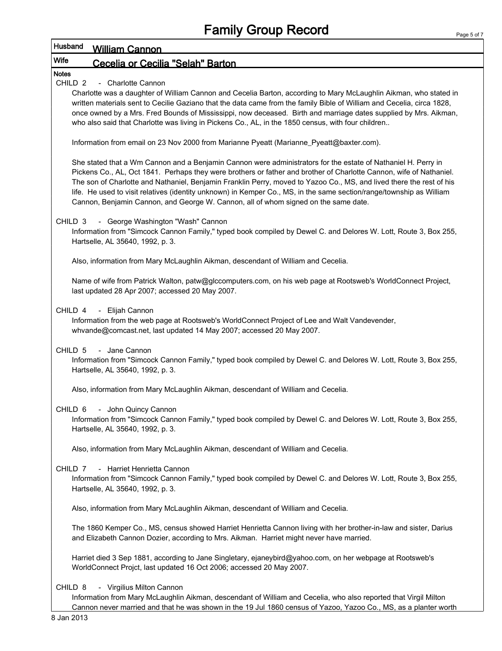### Husband William Cannon Wife Cecelia or Cecilia "Selah" Barton Notes CHILD 2 - Charlotte Cannon Charlotte was a daughter of William Cannon and Cecelia Barton, according to Mary McLaughlin Aikman, who stated in written materials sent to Cecilie Gaziano that the data came from the family Bible of William and Cecelia, circa 1828, once owned by a Mrs. Fred Bounds of Mississippi, now deceased. Birth and marriage dates supplied by Mrs. Aikman, who also said that Charlotte was living in Pickens Co., AL, in the 1850 census, with four children.. Information from email on 23 Nov 2000 from Marianne Pyeatt (Marianne\_Pyeatt@baxter.com). She stated that a Wm Cannon and a Benjamin Cannon were administrators for the estate of Nathaniel H. Perry in Pickens Co., AL, Oct 1841. Perhaps they were brothers or father and brother of Charlotte Cannon, wife of Nathaniel. The son of Charlotte and Nathaniel, Benjamin Franklin Perry, moved to Yazoo Co., MS, and lived there the rest of his life. He used to visit relatives (identity unknown) in Kemper Co., MS, in the same section/range/township as William Cannon, Benjamin Cannon, and George W. Cannon, all of whom signed on the same date. CHILD 3 - George Washington "Wash" Cannon Information from "Simcock Cannon Family," typed book compiled by Dewel C. and Delores W. Lott, Route 3, Box 255, Hartselle, AL 35640, 1992, p. 3.

Also, information from Mary McLaughlin Aikman, descendant of William and Cecelia.

Name of wife from Patrick Walton, patw@glccomputers.com, on his web page at Rootsweb's WorldConnect Project, last updated 28 Apr 2007; accessed 20 May 2007.

CHILD 4 - Elijah Cannon

Information from the web page at Rootsweb's WorldConnect Project of Lee and Walt Vandevender, whvande@comcast.net, last updated 14 May 2007; accessed 20 May 2007.

CHILD 5 - Jane Cannon

Information from "Simcock Cannon Family," typed book compiled by Dewel C. and Delores W. Lott, Route 3, Box 255, Hartselle, AL 35640, 1992, p. 3.

Also, information from Mary McLaughlin Aikman, descendant of William and Cecelia.

#### CHILD 6 - John Quincy Cannon

Information from "Simcock Cannon Family," typed book compiled by Dewel C. and Delores W. Lott, Route 3, Box 255, Hartselle, AL 35640, 1992, p. 3.

Also, information from Mary McLaughlin Aikman, descendant of William and Cecelia.

CHILD 7 - Harriet Henrietta Cannon

Information from "Simcock Cannon Family," typed book compiled by Dewel C. and Delores W. Lott, Route 3, Box 255, Hartselle, AL 35640, 1992, p. 3.

Also, information from Mary McLaughlin Aikman, descendant of William and Cecelia.

The 1860 Kemper Co., MS, census showed Harriet Henrietta Cannon living with her brother-in-law and sister, Darius and Elizabeth Cannon Dozier, according to Mrs. Aikman. Harriet might never have married.

Harriet died 3 Sep 1881, according to Jane Singletary, ejaneybird@yahoo.com, on her webpage at Rootsweb's WorldConnect Projct, last updated 16 Oct 2006; accessed 20 May 2007.

CHILD 8 - Virgilius Milton Cannon

Information from Mary McLaughlin Aikman, descendant of William and Cecelia, who also reported that Virgil Milton Cannon never married and that he was shown in the 19 Jul 1860 census of Yazoo, Yazoo Co., MS, as a planter worth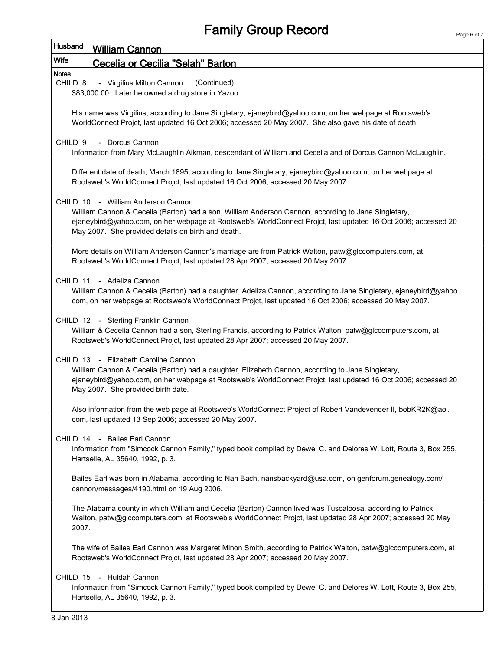## Husband William Cannon

### Wife Cecelia or Cecilia "Selah" Barton

#### Notes

CHILD 8 - Virgilius Milton Cannon (Continued)

\$83,000.00. Later he owned a drug store in Yazoo.

His name was Virgilius, according to Jane Singletary, ejaneybird@yahoo.com, on her webpage at Rootsweb's WorldConnect Projct, last updated 16 Oct 2006; accessed 20 May 2007. She also gave his date of death.

CHILD 9 - Dorcus Cannon

Information from Mary McLaughlin Aikman, descendant of William and Cecelia and of Dorcus Cannon McLaughlin.

Different date of death, March 1895, according to Jane Singletary, ejaneybird@yahoo.com, on her webpage at Rootsweb's WorldConnect Projct, last updated 16 Oct 2006; accessed 20 May 2007.

#### CHILD 10 - William Anderson Cannon

William Cannon & Cecelia (Barton) had a son, William Anderson Cannon, according to Jane Singletary, ejaneybird@yahoo.com, on her webpage at Rootsweb's WorldConnect Projct, last updated 16 Oct 2006; accessed 20 May 2007. She provided details on birth and death.

More details on William Anderson Cannon's marriage are from Patrick Walton, patw@glccomputers.com, at Rootsweb's WorldConnect Projct, last updated 28 Apr 2007; accessed 20 May 2007.

#### CHILD 11 - Adeliza Cannon

William Cannon & Cecelia (Barton) had a daughter, Adeliza Cannon, according to Jane Singletary, ejaneybird@yahoo. com, on her webpage at Rootsweb's WorldConnect Projct, last updated 16 Oct 2006; accessed 20 May 2007.

#### CHILD 12 - Sterling Franklin Cannon

William & Cecelia Cannon had a son, Sterling Francis, according to Patrick Walton, patw@glccomputers.com, at Rootsweb's WorldConnect Projct, last updated 28 Apr 2007; accessed 20 May 2007.

#### CHILD 13 - Elizabeth Caroline Cannon

William Cannon & Cecelia (Barton) had a daughter, Elizabeth Cannon, according to Jane Singletary, ejaneybird@yahoo.com, on her webpage at Rootsweb's WorldConnect Projct, last updated 16 Oct 2006; accessed 20 May 2007. She provided birth date.

Also information from the web page at Rootsweb's WorldConnect Project of Robert Vandevender II, bobKR2K@aol. com, last updated 13 Sep 2006; accessed 20 May 2007.

#### CHILD 14 - Bailes Earl Cannon

Information from "Simcock Cannon Family," typed book compiled by Dewel C. and Delores W. Lott, Route 3, Box 255, Hartselle, AL 35640, 1992, p. 3.

Bailes Earl was born in Alabama, according to Nan Bach, nansbackyard@usa.com, on genforum.genealogy.com/ cannon/messages/4190.html on 19 Aug 2006.

The Alabama county in which William and Cecelia (Barton) Cannon lived was Tuscaloosa, according to Patrick Walton, patw@glccomputers.com, at Rootsweb's WorldConnect Projct, last updated 28 Apr 2007; accessed 20 May 2007.

The wife of Bailes Earl Cannon was Margaret Minon Smith, according to Patrick Walton, patw@glccomputers.com, at Rootsweb's WorldConnect Projct, last updated 28 Apr 2007; accessed 20 May 2007.

#### CHILD 15 - Huldah Cannon

Information from "Simcock Cannon Family," typed book compiled by Dewel C. and Delores W. Lott, Route 3, Box 255, Hartselle, AL 35640, 1992, p. 3.